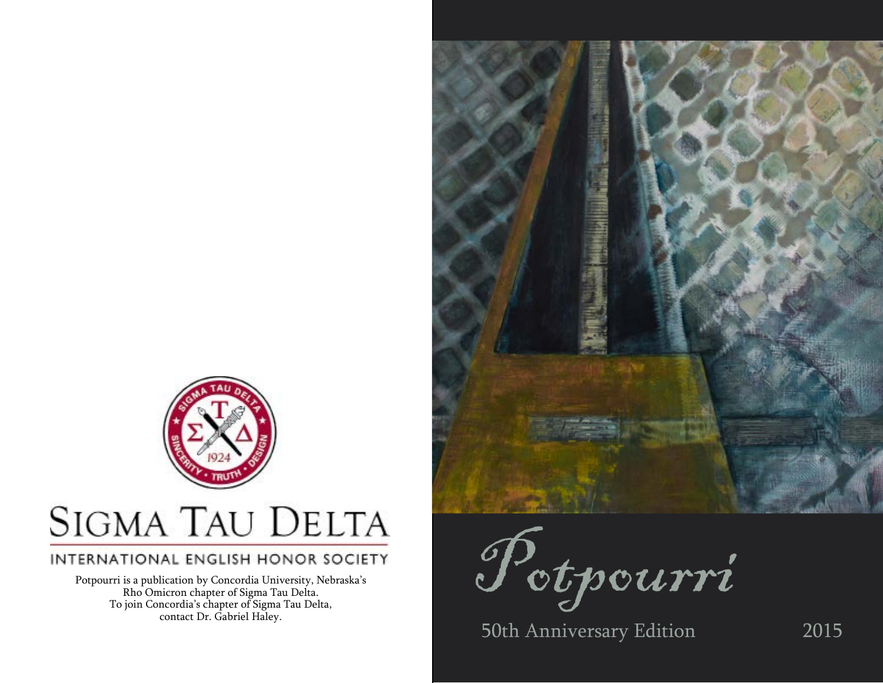

# **SIGMA TAU DELTA**

### INTERNATIONAL ENGLISH HONOR SOCIETY

Potpourri is a publication by Concordia University, Nebraska's Rho Omicron chapter of Sigma Tau Delta. To join Concordia's chapter of Sigma Tau Delta, contact Dr. Gabriel Haley.



Potpourri

50th Anniversary Edition 2015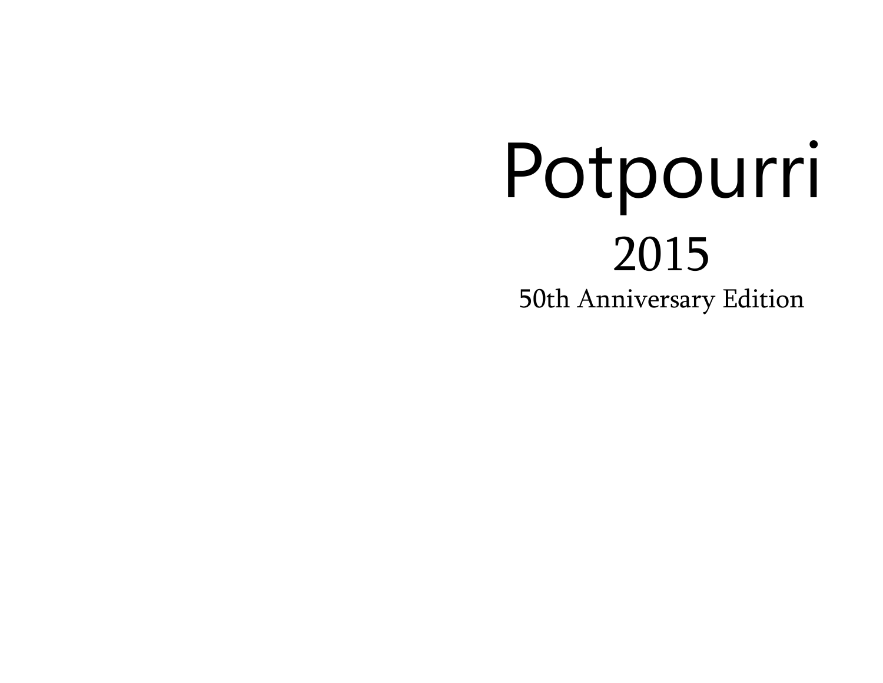# Potpourri 2015 50th Anniversary Edition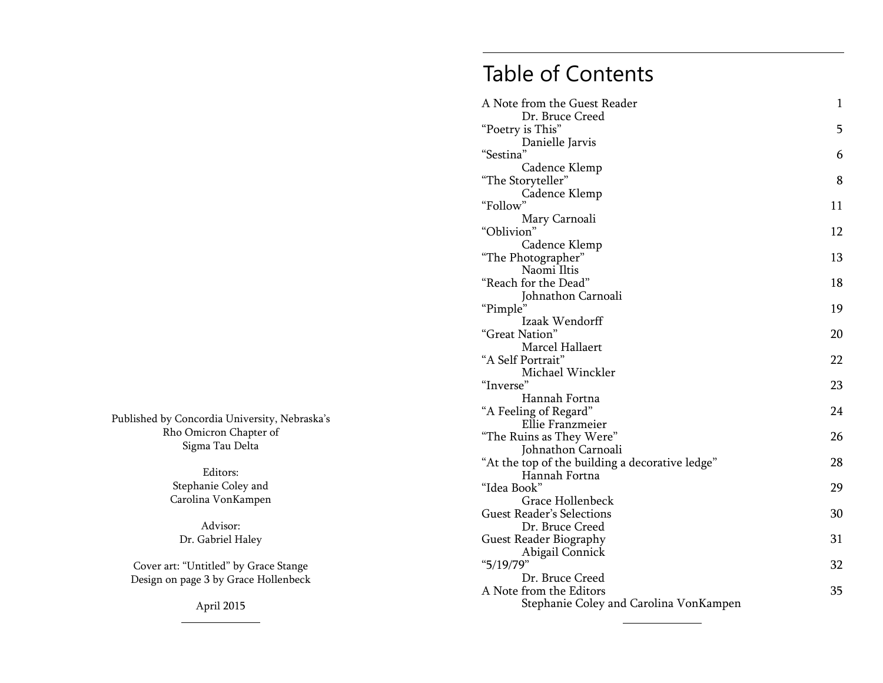## Table of Contents

| A Note from the Guest Reader<br>Dr. Bruce Creed      | $\mathbf{1}$ |
|------------------------------------------------------|--------------|
| "Poetry is This"                                     | 5            |
| Danielle Jarvis                                      |              |
| "Sestina"                                            | 6            |
| Cadence Klemp                                        |              |
| "The Storyteller"                                    | 8            |
| Cadence Klemp                                        |              |
| "Follow"                                             | 11           |
| Mary Carnoali                                        |              |
| "Oblivion"                                           | 12           |
| Cadence Klemp                                        |              |
| "The Photographer"                                   | 13           |
| Naomi Iltis                                          |              |
| "Reach for the Dead"                                 | 18           |
| Johnathon Carnoali                                   | 19           |
| "Pimple"<br>Izaak Wendorff                           |              |
| "Great Nation"                                       | 20           |
| Marcel Hallaert                                      |              |
| "A Self Portrait"                                    | 22           |
| Michael Winckler                                     |              |
| "Inverse"                                            | 23           |
| Hannah Fortna                                        |              |
| "A Feeling of Regard"                                | 24           |
| Ellie Franzmeier                                     |              |
| "The Ruins as They Were"                             | 26           |
| Johnathon Carnoali                                   |              |
| "At the top of the building a decorative ledge"      | 28           |
| Hannah Fortna                                        |              |
| "Idea Book"                                          | 29           |
| Grace Hollenbeck<br><b>Guest Reader's Selections</b> | 30           |
| Dr. Bruce Creed                                      |              |
| <b>Guest Reader Biography</b>                        | 31           |
| Abigail Connick                                      |              |
| " $5/19/79$ "                                        | 32           |
| Dr. Bruce Creed                                      |              |
| A Note from the Editors                              | 35           |
| Stephanie Coley and Carolina VonKampen               |              |
|                                                      |              |

Published by Concordia University, Nebraska's Rho Omicron Chapter of Sigma Tau Delta

> Editors: Stephanie Coley and Carolina VonKampen

Advisor: Dr. Gabriel Haley

Cover art: "Untitled" by Grace Stange Design on page 3 by Grace Hollenbeck

April 2015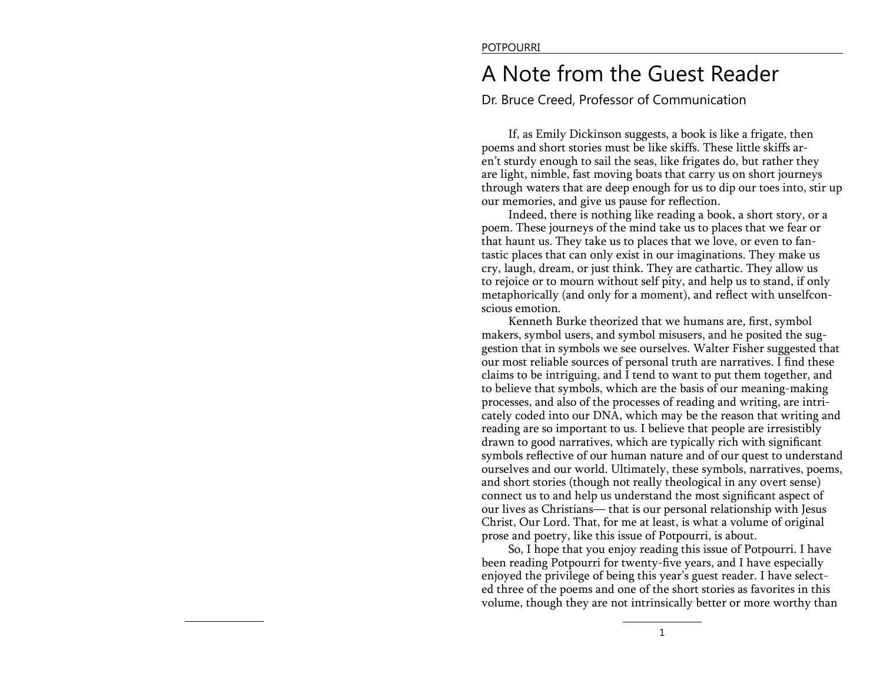## A Note from the Guest Reader

Dr. Bruce Creed, Professor of Communication

If, as Emily Dickinson suggests, a book is like a frigate, then poems and short stories must be like skiffs. These little skiffs aren't sturdy enough to sail the seas, like frigates do, but rather they are light, nimble, fast moving boats that carry us on short journeys through waters that are deep enough for us to dip our toes into, stir up our memories, and give us pause for reflection.

Indeed, there is nothing like reading a book, a short story, or a poem. These journeys of the mind take us to places that we fear or that haunt us. They take us to places that we love, or even to fantastic places that can only exist in our imaginations. They make us cry, laugh, dream, or just think. They are cathartic. They allow us to rejoice or to mourn without self pity, and help us to stand, if only metaphorically (and only for a moment), and reflect with unselfconscious emotion.

Kenneth Burke theorized that we humans are, first, symbol makers, symbol users, and symbol misusers, and he posited the suggestion that in symbols we see ourselves. Walter Fisher suggested that our most reliable sources of personal truth are narratives. I find these claims to be intriguing, and  $\overline{I}$  tend to want to put them together, and to believe that symbols, which are the basis of our meaning-making processes, and also of the processes of reading and writing, are intricately coded into our DNA, which may be the reason that writing and reading are so important to us. I believe that people are irresistibly drawn to good narratives, which are typically rich with significant symbols reflective of our human nature and of our quest to understand ourselves and our world. Ultimately, these symbols, narratives, poems, and short stories (though not really theological in any overt sense) connect us to and help us understand the most significant aspect of our lives as Christians— that is our personal relationship with Jesus Christ, Our Lord. That, for me at least, is what a volume of original prose and poetry, like this issue of Potpourri, is about.

So, I hope that you enjoy reading this issue of Potpourri. I have been reading Potpourri for twenty-five years, and I have especially enjoyed the privilege of being this year's guest reader. I have selected three of the poems and one of the short stories as favorites in this volume, though they are not intrinsically better or more worthy than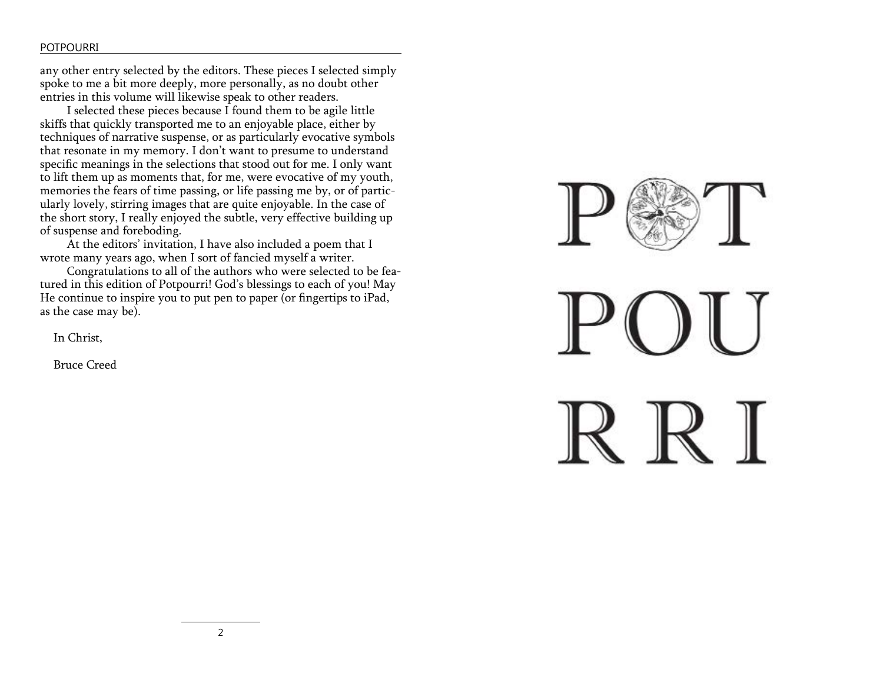### POTPOURRI

any other entry selected by the editors. These pieces I selected simply spoke to me a bit more deeply, more personally, as no doubt other entries in this volume will likewise speak to other readers.

I selected these pieces because I found them to be agile little skiffs that quickly transported me to an enjoyable place, either by techniques of narrative suspense, or as particularly evocative symbols that resonate in my memory. I don't want to presume to understand specific meanings in the selections that stood out for me. I only want to lift them up as moments that, for me, were evocative of my youth, memories the fears of time passing, or life passing me by, or of particularly lovely, stirring images that are quite enjoyable. In the case of the short story, I really enjoyed the subtle, very effective building up of suspense and foreboding.

At the editors' invitation, I have also included a poem that I wrote many years ago, when I sort of fancied myself a writer.

Congratulations to all of the authors who were selected to be featured in this edition of Potpourri! God's blessings to each of you! May He continue to inspire you to put pen to paper (or fingertips to iPad, as the case may be).

In Christ,

Bruce Creed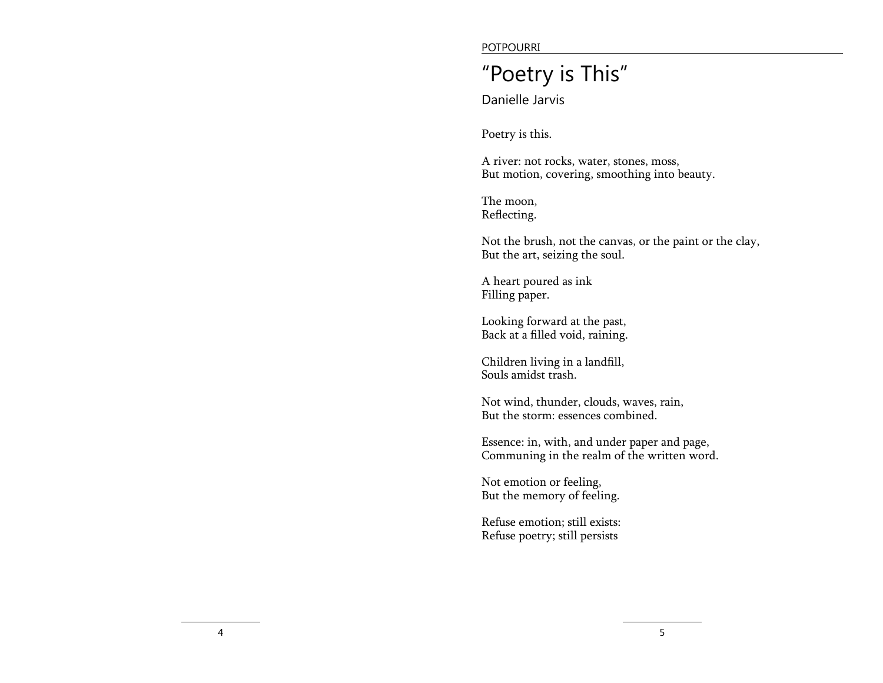POTPOURRI

## "Poetry is This"

Danielle Jarvis

Poetry is this.

A river: not rocks, water, stones, moss, But motion, covering, smoothing into beauty.

The moon, Reflecting.

Not the brush, not the canvas, or the paint or the clay, But the art, seizing the soul.

A heart poured as ink Filling paper.

Looking forward at the past, Back at a filled void, raining.

Children living in a landfill, Souls amidst trash.

Not wind, thunder, clouds, waves, rain, But the storm: essences combined.

Essence: in, with, and under paper and page, Communing in the realm of the written word.

Not emotion or feeling, But the memory of feeling.

Refuse emotion; still exists: Refuse poetry; still persists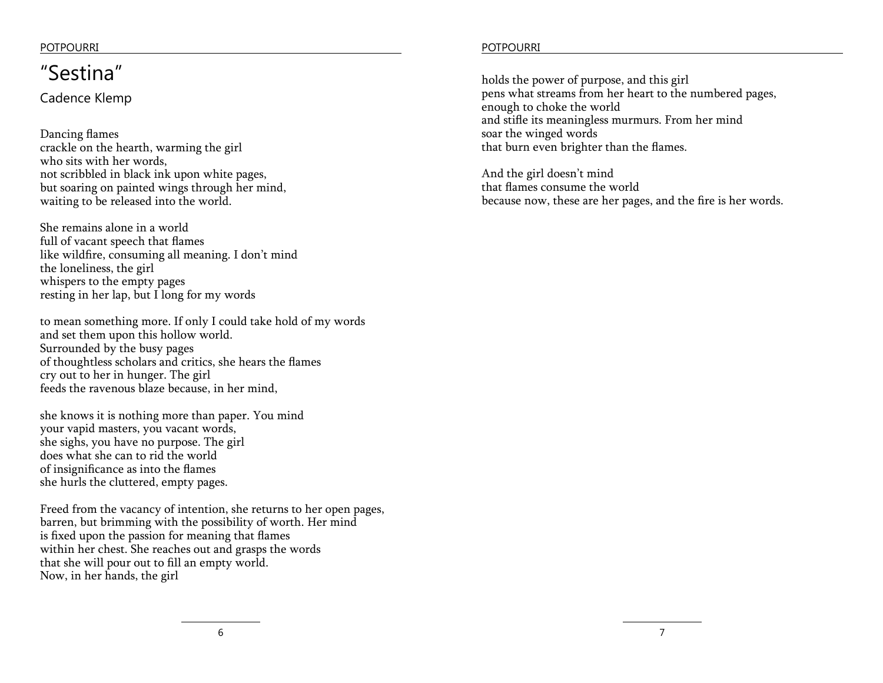### POTPOURRI POTPOURRI

## "Sestina"

Cadence Klemp

Dancing flames crackle on the hearth, warming the girl who sits with her words, not scribbled in black ink upon white pages, but soaring on painted wings through her mind, waiting to be released into the world.

She remains alone in a world full of vacant speech that flames like wildfire, consuming all meaning. I don't mind the loneliness, the girl whispers to the empty pages resting in her lap, but I long for my words

to mean something more. If only I could take hold of my words and set them upon this hollow world. Surrounded by the busy pages of thoughtless scholars and critics, she hears the flames cry out to her in hunger. The girl feeds the ravenous blaze because, in her mind,

she knows it is nothing more than paper. You mind your vapid masters, you vacant words, she sighs, you have no purpose. The girl does what she can to rid the world of insignificance as into the flames she hurls the cluttered, empty pages.

Freed from the vacancy of intention, she returns to her open pages, barren, but brimming with the possibility of worth. Her mind is fixed upon the passion for meaning that flames within her chest. She reaches out and grasps the words that she will pour out to fill an empty world. Now, in her hands, the girl

holds the power of purpose, and this girl pens what streams from her heart to the numbered pages, enough to choke the world and stifle its meaningless murmurs. From her mind soar the winged words that burn even brighter than the flames.

And the girl doesn't mind that flames consume the world because now, these are her pages, and the fire is her words.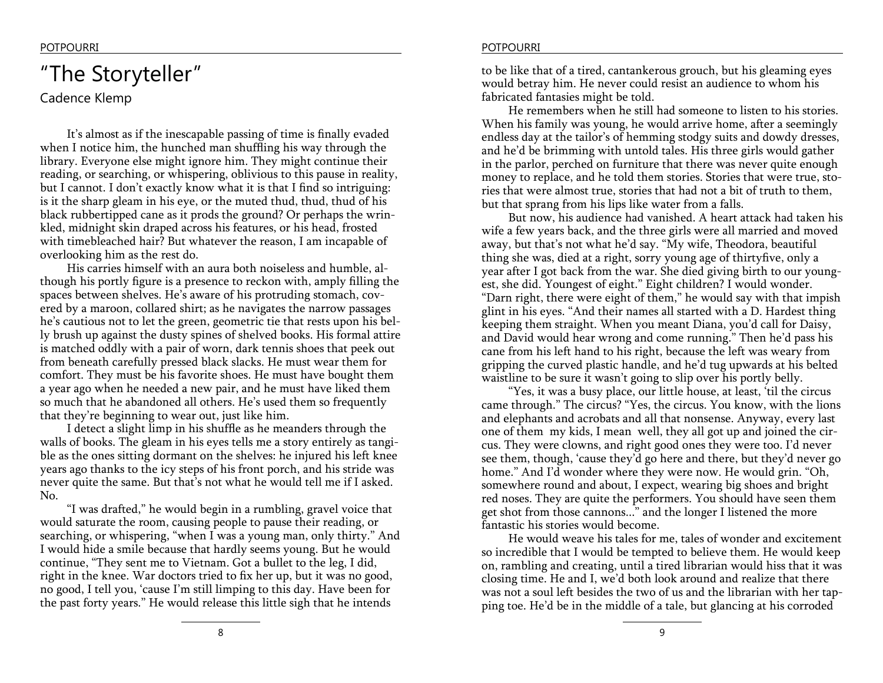## "The Storyteller"

Cadence Klemp

It's almost as if the inescapable passing of time is finally evaded when I notice him, the hunched man shuffling his way through the library. Everyone else might ignore him. They might continue their reading, or searching, or whispering, oblivious to this pause in reality, but I cannot. I don't exactly know what it is that I find so intriguing: is it the sharp gleam in his eye, or the muted thud, thud, thud of his black rubbertipped cane as it prods the ground? Or perhaps the wrinkled, midnight skin draped across his features, or his head, frosted with timebleached hair? But whatever the reason, I am incapable of overlooking him as the rest do.

His carries himself with an aura both noiseless and humble, although his portly figure is a presence to reckon with, amply filling the spaces between shelves. He's aware of his protruding stomach, covered by a maroon, collared shirt; as he navigates the narrow passages he's cautious not to let the green, geometric tie that rests upon his belly brush up against the dusty spines of shelved books. His formal attire is matched oddly with a pair of worn, dark tennis shoes that peek out from beneath carefully pressed black slacks. He must wear them for comfort. They must be his favorite shoes. He must have bought them a year ago when he needed a new pair, and he must have liked them so much that he abandoned all others. He's used them so frequently that they're beginning to wear out, just like him.

I detect a slight limp in his shuffle as he meanders through the walls of books. The gleam in his eyes tells me a story entirely as tangible as the ones sitting dormant on the shelves: he injured his left knee years ago thanks to the icy steps of his front porch, and his stride was never quite the same. But that's not what he would tell me if I asked. No.

"I was drafted," he would begin in a rumbling, gravel voice that would saturate the room, causing people to pause their reading, or searching, or whispering, "when I was a young man, only thirty." And I would hide a smile because that hardly seems young. But he would continue, "They sent me to Vietnam. Got a bullet to the leg, I did, right in the knee. War doctors tried to fix her up, but it was no good, no good, I tell you, 'cause I'm still limping to this day. Have been for the past forty years." He would release this little sigh that he intends

to be like that of a tired, cantankerous grouch, but his gleaming eyes would betray him. He never could resist an audience to whom his fabricated fantasies might be told.

He remembers when he still had someone to listen to his stories. When his family was young, he would arrive home, after a seemingly endless day at the tailor's of hemming stodgy suits and dowdy dresses, and he'd be brimming with untold tales. His three girls would gather in the parlor, perched on furniture that there was never quite enough money to replace, and he told them stories. Stories that were true, stories that were almost true, stories that had not a bit of truth to them, but that sprang from his lips like water from a falls.

But now, his audience had vanished. A heart attack had taken his wife a few years back, and the three girls were all married and moved away, but that's not what he'd say. "My wife, Theodora, beautiful thing she was, died at a right, sorry young age of thirtyfive, only a year after I got back from the war. She died giving birth to our youngest, she did. Youngest of eight." Eight children? I would wonder. "Darn right, there were eight of them," he would say with that impish glint in his eyes. "And their names all started with a D. Hardest thing keeping them straight. When you meant Diana, you'd call for Daisy, and David would hear wrong and come running." Then he'd pass his cane from his left hand to his right, because the left was weary from gripping the curved plastic handle, and he'd tug upwards at his belted waistline to be sure it wasn't going to slip over his portly belly.

"Yes, it was a busy place, our little house, at least, 'til the circus came through." The circus? "Yes, the circus. You know, with the lions and elephants and acrobats and all that nonsense. Anyway, every last one of them my kids, I mean well, they all got up and joined the circus. They were clowns, and right good ones they were too. I'd never see them, though, 'cause they'd go here and there, but they'd never go home." And I'd wonder where they were now. He would grin. "Oh, somewhere round and about, I expect, wearing big shoes and bright red noses. They are quite the performers. You should have seen them get shot from those cannons..." and the longer I listened the more fantastic his stories would become.

He would weave his tales for me, tales of wonder and excitement so incredible that I would be tempted to believe them. He would keep on, rambling and creating, until a tired librarian would hiss that it was closing time. He and I, we'd both look around and realize that there was not a soul left besides the two of us and the librarian with her tapping toe. He'd be in the middle of a tale, but glancing at his corroded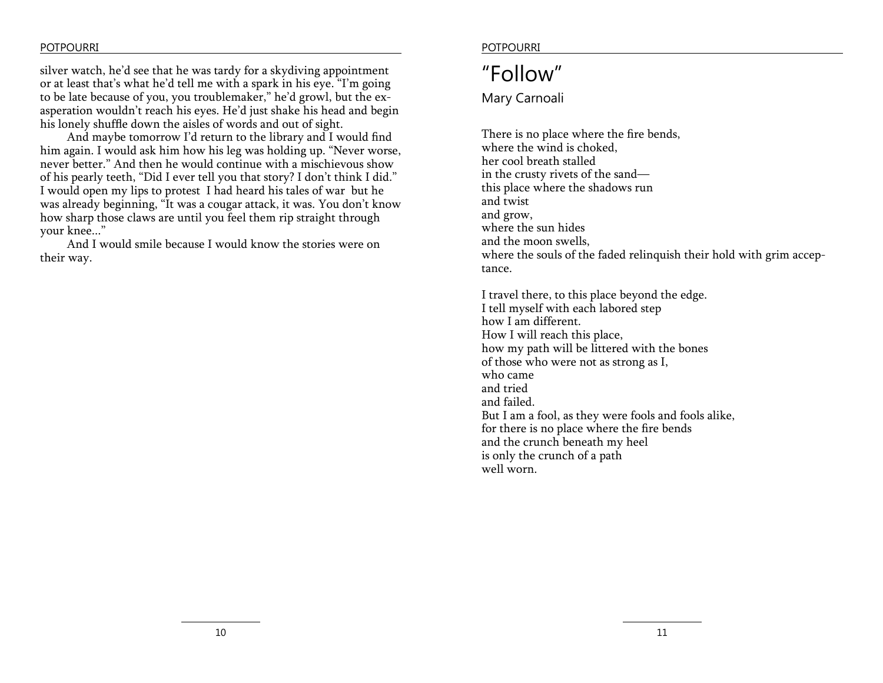silver watch, he'd see that he was tardy for a skydiving appointment or at least that's what he'd tell me with a spark in his eye. "I'm going to be late because of you, you troublemaker," he'd growl, but the exasperation wouldn't reach his eyes. He'd just shake his head and begin his lonely shuffle down the aisles of words and out of sight.

And maybe tomorrow I'd return to the library and I would find him again. I would ask him how his leg was holding up. "Never worse, never better." And then he would continue with a mischievous show of his pearly teeth, "Did I ever tell you that story? I don't think I did." I would open my lips to protest I had heard his tales of war but he was already beginning, "It was a cougar attack, it was. You don't know how sharp those claws are until you feel them rip straight through your knee..."

And I would smile because I would know the stories were on their way.

### POTPOURRI POTPOURRI

### "Follow"

Mary Carnoali

There is no place where the fire bends, where the wind is choked, her cool breath stalled in the crusty rivets of the sand this place where the shadows run and twist and grow, where the sun hides and the moon swells, where the souls of the faded relinquish their hold with grim acceptance.

I travel there, to this place beyond the edge. I tell myself with each labored step how I am different. How I will reach this place, how my path will be littered with the bones of those who were not as strong as I, who came and tried and failed. But I am a fool, as they were fools and fools alike, for there is no place where the fire bends and the crunch beneath my heel is only the crunch of a path well worn.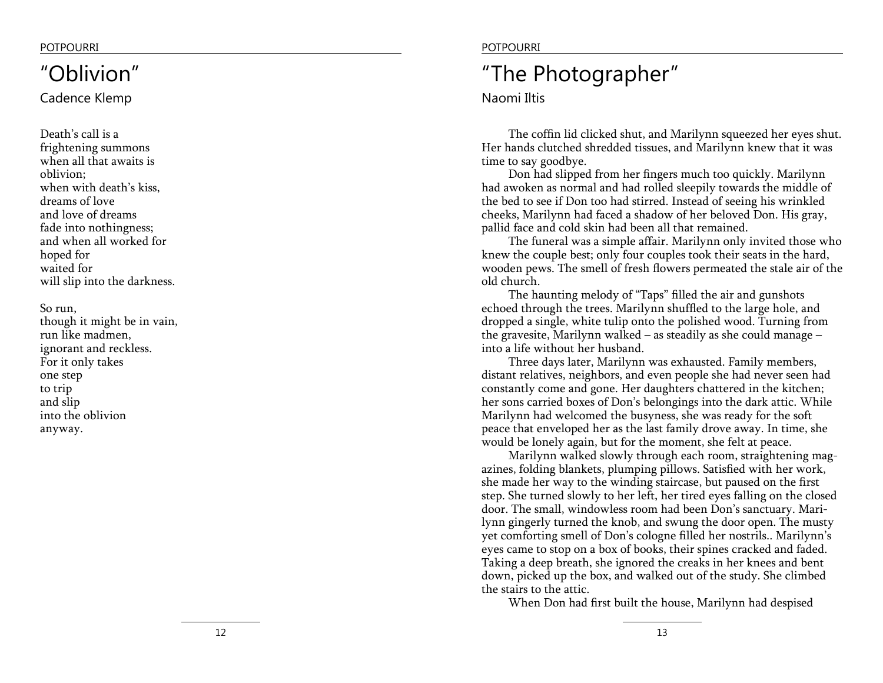## "Oblivion"

Cadence Klemp

Death's call is a frightening summons when all that awaits is oblivion; when with death's kiss, dreams of love and love of dreams fade into nothingness; and when all worked for hoped for waited for will slip into the darkness.

So run, though it might be in vain, run like madmen, ignorant and reckless. For it only takes one step to trip and slip into the oblivion anyway.

### POTPOURRI POTPOURRI

## "The Photographer"

Naomi Iltis

The coffin lid clicked shut, and Marilynn squeezed her eyes shut. Her hands clutched shredded tissues, and Marilynn knew that it was time to say goodbye.

Don had slipped from her fingers much too quickly. Marilynn had awoken as normal and had rolled sleepily towards the middle of the bed to see if Don too had stirred. Instead of seeing his wrinkled cheeks, Marilynn had faced a shadow of her beloved Don. His gray, pallid face and cold skin had been all that remained.

The funeral was a simple affair. Marilynn only invited those who knew the couple best; only four couples took their seats in the hard, wooden pews. The smell of fresh flowers permeated the stale air of the old church.

The haunting melody of "Taps" filled the air and gunshots echoed through the trees. Marilynn shuffled to the large hole, and dropped a single, white tulip onto the polished wood. Turning from the gravesite, Marilynn walked – as steadily as she could manage – into a life without her husband.

Three days later, Marilynn was exhausted. Family members, distant relatives, neighbors, and even people she had never seen had constantly come and gone. Her daughters chattered in the kitchen; her sons carried boxes of Don's belongings into the dark attic. While Marilynn had welcomed the busyness, she was ready for the soft peace that enveloped her as the last family drove away. In time, she would be lonely again, but for the moment, she felt at peace.

Marilynn walked slowly through each room, straightening mag azines, folding blankets, plumping pillows. Satisfied with her work, she made her way to the winding staircase, but paused on the first step. She turned slowly to her left, her tired eyes falling on the closed door. The small, windowless room had been Don's sanctuary. Mari lynn gingerly turned the knob, and swung the door open. The musty yet comforting smell of Don's cologne filled her nostrils.. Marilynn's eyes came to stop on a box of books, their spines cracked and faded. Taking a deep breath, she ignored the creaks in her knees and bent down, picked up the box, and walked out of the study. She climbed the stairs to the attic.

When Don had first built the house, Marilynn had despised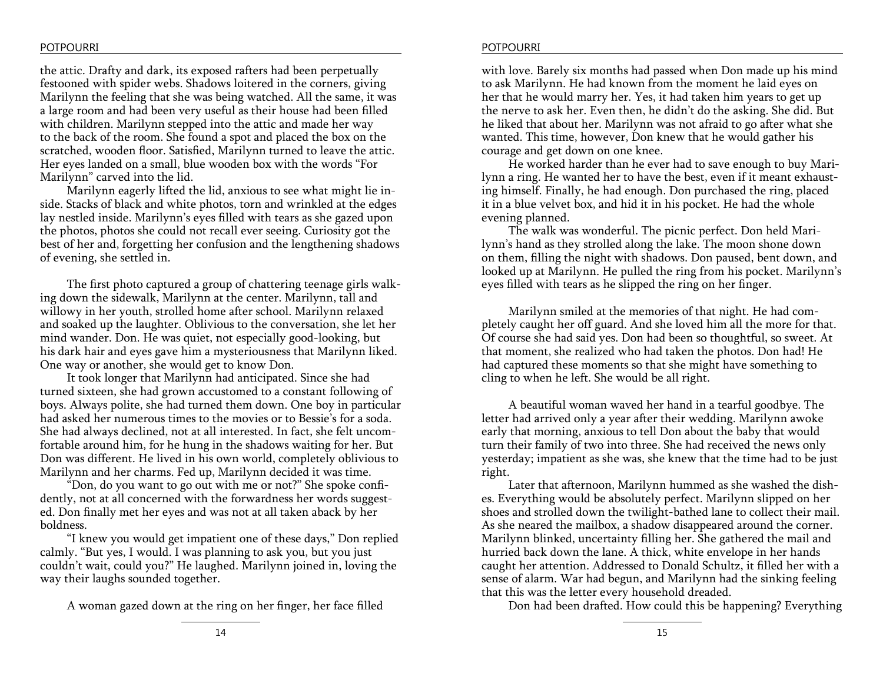### POTPOURRI POTPOURRI

the attic. Drafty and dark, its exposed rafters had been perpetually festooned with spider webs. Shadows loitered in the corners, giving Marilynn the feeling that she was being watched. All the same, it was a large room and had been very useful as their house had been filled with children. Marilynn stepped into the attic and made her way to the back of the room. She found a spot and placed the box on the scratched, wooden floor. Satisfied, Marilynn turned to leave the attic. Her eyes landed on a small, blue wooden box with the words "For Marilynn" carved into the lid.

Marilynn eagerly lifted the lid, anxious to see what might lie inside. Stacks of black and white photos, torn and wrinkled at the edges lay nestled inside. Marilynn's eyes filled with tears as she gazed upon the photos, photos she could not recall ever seeing. Curiosity got the best of her and, forgetting her confusion and the lengthening shadows of evening, she settled in.

The first photo captured a group of chattering teenage girls walking down the sidewalk, Marilynn at the center. Marilynn, tall and willowy in her youth, strolled home after school. Marilynn relaxed and soaked up the laughter. Oblivious to the conversation, she let her mind wander. Don. He was quiet, not especially good-looking, but his dark hair and eyes gave him a mysteriousness that Marilynn liked. One way or another, she would get to know Don.

It took longer that Marilynn had anticipated. Since she had turned sixteen, she had grown accustomed to a constant following of boys. Always polite, she had turned them down. One boy in particular had asked her numerous times to the movies or to Bessie's for a soda. She had always declined, not at all interested. In fact, she felt uncomfortable around him, for he hung in the shadows waiting for her. But Don was different. He lived in his own world, completely oblivious to Marilynn and her charms. Fed up, Marilynn decided it was time.

"Don, do you want to go out with me or not?" She spoke confidently, not at all concerned with the forwardness her words suggested. Don finally met her eyes and was not at all taken aback by her boldness.

"I knew you would get impatient one of these days," Don replied calmly. "But yes, I would. I was planning to ask you, but you just couldn't wait, could you?" He laughed. Marilynn joined in, loving the way their laughs sounded together.

A woman gazed down at the ring on her finger, her face filled

with love. Barely six months had passed when Don made up his mind to ask Marilynn. He had known from the moment he laid eyes on her that he would marry her. Yes, it had taken him years to get up the nerve to ask her. Even then, he didn't do the asking. She did. But he liked that about her. Marilynn was not afraid to go after what she wanted. This time, however, Don knew that he would gather his courage and get down on one knee.

He worked harder than he ever had to save enough to buy Marilynn a ring. He wanted her to have the best, even if it meant exhausting himself. Finally, he had enough. Don purchased the ring, placed it in a blue velvet box, and hid it in his pocket. He had the whole evening planned.

The walk was wonderful. The picnic perfect. Don held Marilynn's hand as they strolled along the lake. The moon shone down on them, filling the night with shadows. Don paused, bent down, and looked up at Marilynn. He pulled the ring from his pocket. Marilynn's eyes filled with tears as he slipped the ring on her finger.

Marilynn smiled at the memories of that night. He had completely caught her off guard. And she loved him all the more for that. Of course she had said yes. Don had been so thoughtful, so sweet. At that moment, she realized who had taken the photos. Don had! He had captured these moments so that she might have something to cling to when he left. She would be all right.

A beautiful woman waved her hand in a tearful goodbye. The letter had arrived only a year after their wedding. Marilynn awoke early that morning, anxious to tell Don about the baby that would turn their family of two into three. She had received the news only yesterday; impatient as she was, she knew that the time had to be just right.

Later that afternoon, Marilynn hummed as she washed the dishes. Everything would be absolutely perfect. Marilynn slipped on her shoes and strolled down the twilight-bathed lane to collect their mail. As she neared the mailbox, a shadow disappeared around the corner. Marilynn blinked, uncertainty filling her. She gathered the mail and hurried back down the lane. A thick, white envelope in her hands caught her attention. Addressed to Donald Schultz, it filled her with a sense of alarm. War had begun, and Marilynn had the sinking feeling that this was the letter every household dreaded.

Don had been drafted. How could this be happening? Everything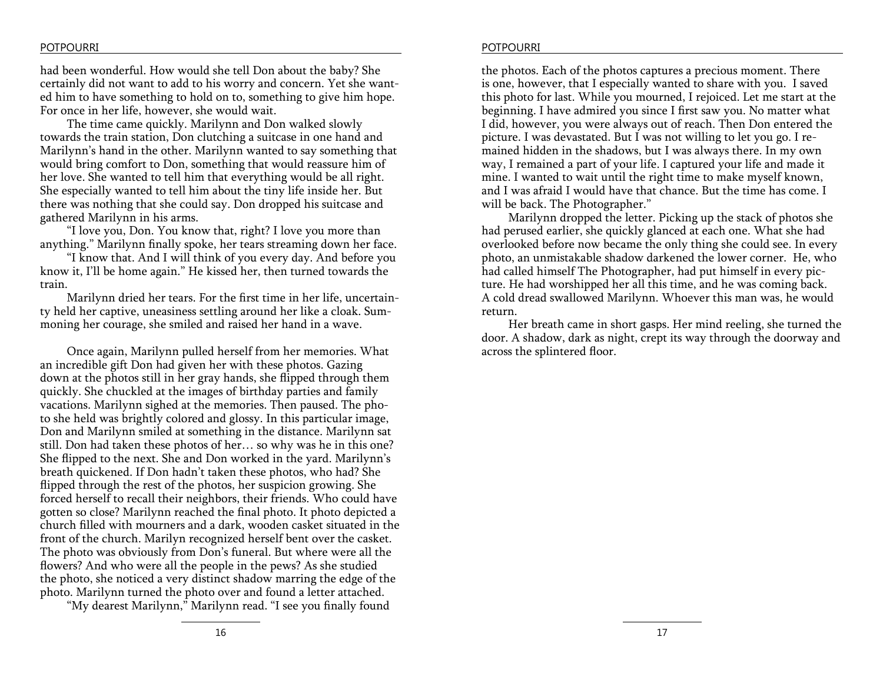### POTPOURRI POTPOURRI

had been wonderful. How would she tell Don about the baby? She certainly did not want to add to his worry and concern. Yet she wanted him to have something to hold on to, something to give him hope. For once in her life, however, she would wait.

The time came quickly. Marilynn and Don walked slowly towards the train station, Don clutching a suitcase in one hand and Marilynn's hand in the other. Marilynn wanted to say something that would bring comfort to Don, something that would reassure him of her love. She wanted to tell him that everything would be all right. She especially wanted to tell him about the tiny life inside her. But there was nothing that she could say. Don dropped his suitcase and gathered Marilynn in his arms.

"I love you, Don. You know that, right? I love you more than anything." Marilynn finally spoke, her tears streaming down her face.

"I know that. And I will think of you every day. And before you know it, I'll be home again." He kissed her, then turned towards the train.

Marilynn dried her tears. For the first time in her life, uncertainty held her captive, uneasiness settling around her like a cloak. Summoning her courage, she smiled and raised her hand in a wave.

Once again, Marilynn pulled herself from her memories. What an incredible gift Don had given her with these photos. Gazing down at the photos still in her gray hands, she flipped through them quickly. She chuckled at the images of birthday parties and family vacations. Marilynn sighed at the memories. Then paused. The photo she held was brightly colored and glossy. In this particular image, Don and Marilynn smiled at something in the distance. Marilynn sat still. Don had taken these photos of her… so why was he in this one? She flipped to the next. She and Don worked in the yard. Marilynn's breath quickened. If Don hadn't taken these photos, who had? She flipped through the rest of the photos, her suspicion growing. She forced herself to recall their neighbors, their friends. Who could have gotten so close? Marilynn reached the final photo. It photo depicted a church filled with mourners and a dark, wooden casket situated in the front of the church. Marilyn recognized herself bent over the casket. The photo was obviously from Don's funeral. But where were all the flowers? And who were all the people in the pews? As she studied the photo, she noticed a very distinct shadow marring the edge of the photo. Marilynn turned the photo over and found a letter attached.

"My dearest Marilynn," Marilynn read. "I see you finally found

the photos. Each of the photos captures a precious moment. There is one, however, that I especially wanted to share with you. I saved this photo for last. While you mourned, I rejoiced. Let me start at the beginning. I have admired you since I first saw you. No matter what I did, however, you were always out of reach. Then Don entered the picture. I was devastated. But I was not willing to let you go. I remained hidden in the shadows, but I was always there. In my own way, I remained a part of your life. I captured your life and made it mine. I wanted to wait until the right time to make myself known, and I was afraid I would have that chance. But the time has come. I will be back. The Photographer."

Marilynn dropped the letter. Picking up the stack of photos she had perused earlier, she quickly glanced at each one. What she had overlooked before now became the only thing she could see. In every photo, an unmistakable shadow darkened the lower corner. He, who had called himself The Photographer, had put himself in every picture. He had worshipped her all this time, and he was coming back. A cold dread swallowed Marilynn. Whoever this man was, he would return.

Her breath came in short gasps. Her mind reeling, she turned the door. A shadow, dark as night, crept its way through the doorway and across the splintered floor.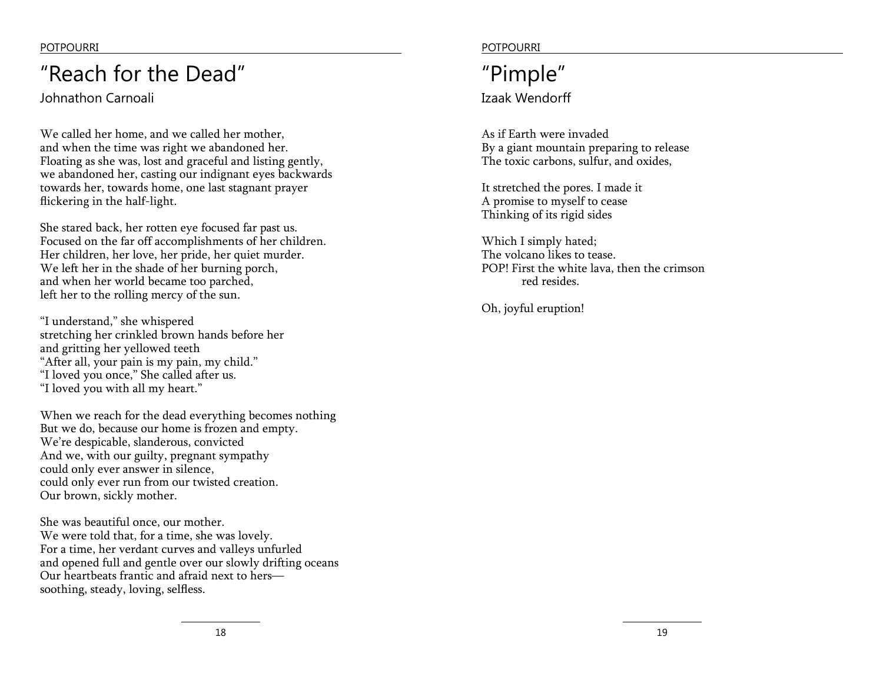## "Reach for the Dead"

Johnathon Carnoali

We called her home, and we called her mother, and when the time was right we abandoned her. Floating as she was, lost and graceful and listing gently, we abandoned her, casting our indignant eyes backwards towards her, towards home, one last stagnant prayer flickering in the half-light.

She stared back, her rotten eye focused far past us. Focused on the far off accomplishments of her children. Her children, her love, her pride, her quiet murder. We left her in the shade of her burning porch, and when her world became too parched, left her to the rolling mercy of the sun.

"I understand," she whispered stretching her crinkled brown hands before her and gritting her yellowed teeth "After all, your pain is my pain, my child." "I loved you once," She called after us. "I loved you with all my heart."

When we reach for the dead everything becomes nothing But we do, because our home is frozen and empty. We're despicable, slanderous, convicted And we, with our guilty, pregnant sympathy could only ever answer in silence, could only ever run from our twisted creation. Our brown, sickly mother.

She was beautiful once, our mother. We were told that, for a time, she was lovely. For a time, her verdant curves and valleys unfurled and opened full and gentle over our slowly drifting oceans Our heartbeats frantic and afraid next to hers soothing, steady, loving, selfless.

POTPOURRI POTPOURRI

### Izaak Wendorff "Pimple"

As if Earth were invaded By a giant mountain preparing to release The toxic carbons, sulfur, and oxides,

It stretched the pores. I made it A promise to myself to cease Thinking of its rigid sides

Which I simply hated; The volcano likes to tease. POP! First the white lava, then the crimson red resides.

Oh, joyful eruption!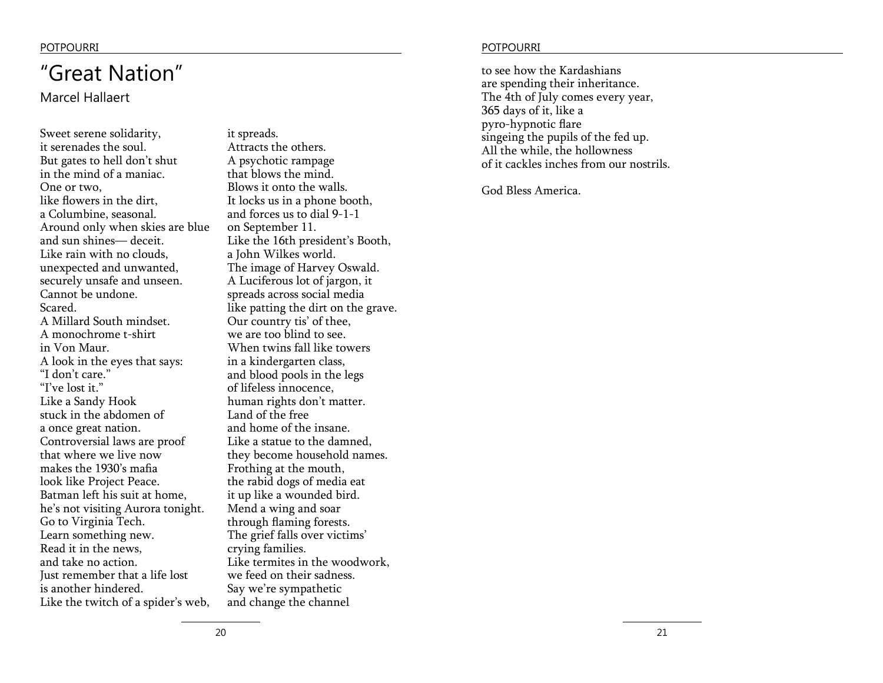## "Great Nation"

Marcel Hallaert

Sweet serene solidarity, it serenades the soul. But gates to hell don't shut in the mind of a maniac. One or two, like flowers in the dirt, a Columbine, seasonal. Around only when skies are blue and sun shines— deceit. Like rain with no clouds, unexpected and unwanted, securely unsafe and unseen. Cannot be undone. Scared. A Millard South mindset. A monochrome t-shirt in Von Maur. A look in the eyes that says: "I don't care." "I've lost it." Like a Sandy Hook stuck in the abdomen of a once great nation. Controversial laws are proof that where we live now makes the 1930's mafia look like Project Peace. Batman left his suit at home, he's not visiting Aurora tonight. Go to Virginia Tech. Learn something new. Read it in the news, and take no action. Just remember that a life lost is another hindered. Like the twitch of a spider's web,

it spreads. Attracts the others. A psychotic rampage that blows the mind. Blows it onto the walls. It locks us in a phone booth, and forces us to dial 9-1-1 on September 11. Like the 16th president's Booth, a John Wilkes world. The image of Harvey Oswald. A Luciferous lot of jargon, it spreads across social media like patting the dirt on the grave. Our country tis' of thee, we are too blind to see. When twins fall like towers in a kindergarten class, and blood pools in the legs of lifeless innocence, human rights don't matter. Land of the free and home of the insane. Like a statue to the damned, they become household names. Frothing at the mouth, the rabid dogs of media eat it up like a wounded bird. Mend a wing and soar through flaming forests. The grief falls over victims' crying families. Like termites in the woodwork, we feed on their sadness. Say we're sympathetic and change the channel

### POTPOURRI POTPOURRI

to see how the Kardashians are spending their inheritance. The 4th of July comes every year, 365 days of it, like a pyro-hypnotic flare singeing the pupils of the fed up. All the while, the hollowness of it cackles inches from our nostrils.

God Bless America.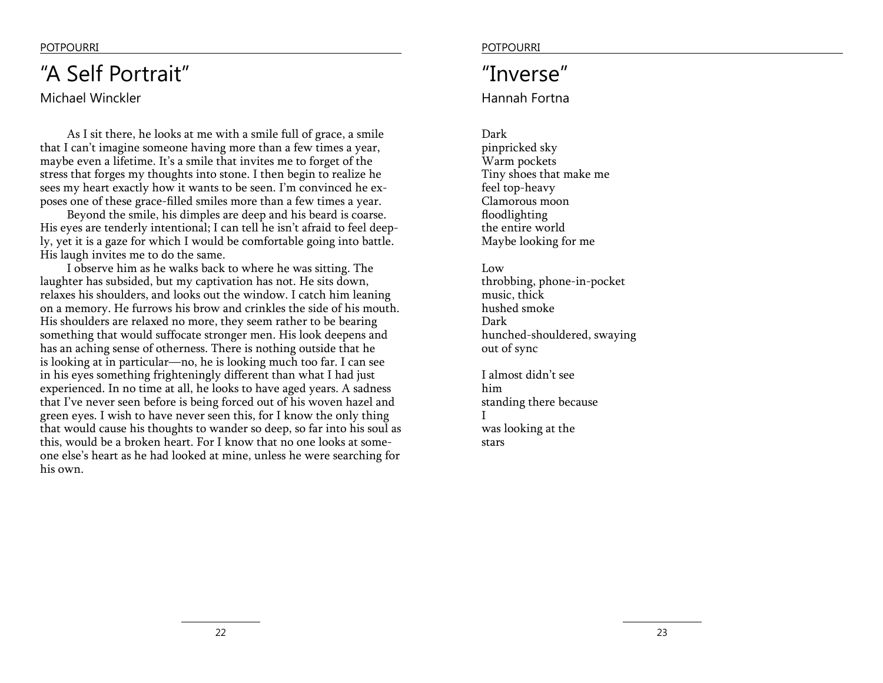## "A Self Portrait"

### Michael Winckler

As I sit there, he looks at me with a smile full of grace, a smile that I can't imagine someone having more than a few times a year, maybe even a lifetime. It's a smile that invites me to forget of the stress that forges my thoughts into stone. I then begin to realize he sees my heart exactly how it wants to be seen. I'm convinced he exposes one of these grace-filled smiles more than a few times a year.

Beyond the smile, his dimples are deep and his beard is coarse. His eyes are tenderly intentional; I can tell he isn't afraid to feel deeply, yet it is a gaze for which I would be comfortable going into battle. His laugh invites me to do the same.

I observe him as he walks back to where he was sitting. The laughter has subsided, but my captivation has not. He sits down, relaxes his shoulders, and looks out the window. I catch him leaning on a memory. He furrows his brow and crinkles the side of his mouth. His shoulders are relaxed no more, they seem rather to be bearing something that would suffocate stronger men. His look deepens and has an aching sense of otherness. There is nothing outside that he is looking at in particular—no, he is looking much too far. I can see in his eyes something frighteningly different than what I had just experienced. In no time at all, he looks to have aged years. A sadness that I've never seen before is being forced out of his woven hazel and green eyes. I wish to have never seen this, for I know the only thing that would cause his thoughts to wander so deep, so far into his soul as this, would be a broken heart. For I know that no one looks at someone else's heart as he had looked at mine, unless he were searching for his own.

### POTPOURRI POTPOURRI POTPOURRI POTPOURRI POTPOURRI POTPOURRI POTPOURRI POTPOURRI POTPOURRI POTPOURRI POTPOURRI POTPOURRI POTPOURRI POTPOURRI POTPOURRI POTPOURRI POTPOURRI POTPOURRI POTPOURRI POTPOURRI POTPOURRI POTPOURRI PO

## "Inverse"

Hannah Fortna

Dark pinpricked sky Warm pockets Tiny shoes that make me feel top-heavy Clamorous moon floodlighting the entire world Maybe looking for me

Low throbbing, phone-in-pocket music, thick hushed smoke Dark hunched-shouldered, swaying out of sync

I almost didn't see him standing there because I was looking at the stars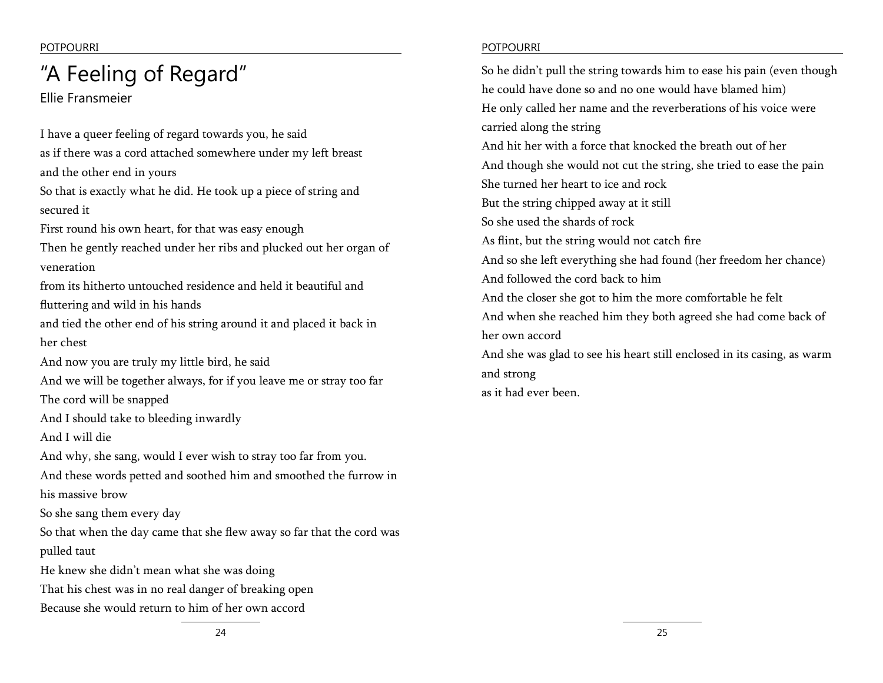Ellie Fransmeier

I have a queer feeling of regard towards you, he said as if there was a cord attached somewhere under my left breast and the other end in yours So that is exactly what he did. He took up a piece of string and secured it First round his own heart, for that was easy enough Then he gently reached under her ribs and plucked out her organ of veneration from its hitherto untouched residence and held it beautiful and fluttering and wild in his hands and tied the other end of his string around it and placed it back in her chest And now you are truly my little bird, he said And we will be together always, for if you leave me or stray too far The cord will be snapped And I should take to bleeding inwardly And I will die And why, she sang, would I ever wish to stray too far from you. And these words petted and soothed him and smoothed the furrow in his massive brow So she sang them every day So that when the day came that she flew away so far that the cord was pulled taut He knew she didn't mean what she was doing That his chest was in no real danger of breaking open Because she would return to him of her own accord

### POTPOURRI POTPOURRI

"A Feeling of Regard" so he didn't pull the string towards him to ease his pain (even though he could have done so and no one would have blamed him) He only called her name and the reverberations of his voice were carried along the string And hit her with a force that knocked the breath out of her And though she would not cut the string, she tried to ease the pain She turned her heart to ice and rock But the string chipped away at it still So she used the shards of rock As flint, but the string would not catch fire And so she left everything she had found (her freedom her chance) And followed the cord back to him And the closer she got to him the more comfortable he felt And when she reached him they both agreed she had come back of her own accord And she was glad to see his heart still enclosed in its casing, as warm and strong

as it had ever been.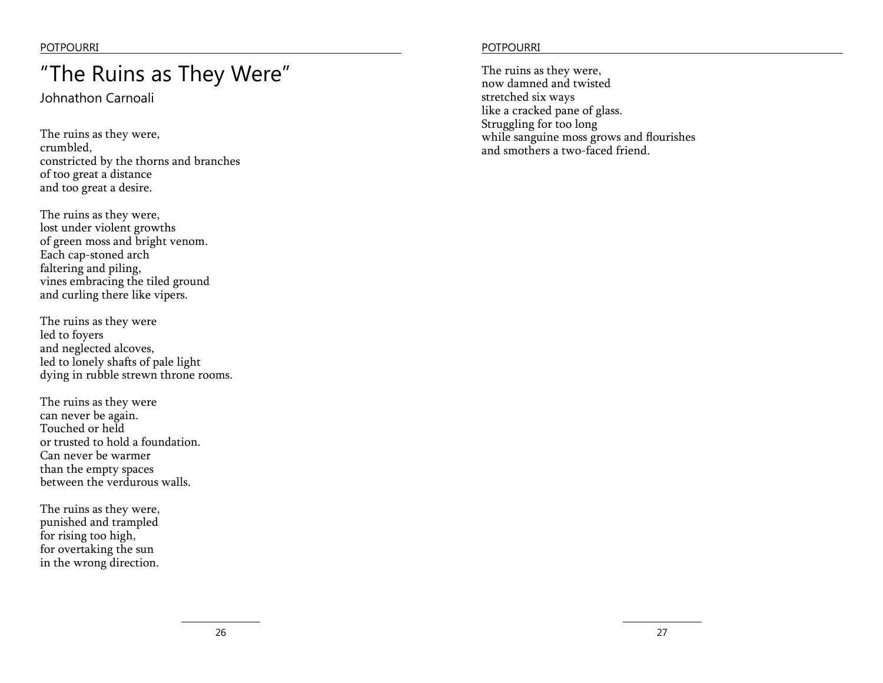## "The Ruins as They Were"

Johnathon Carnoali

The ruins as they were, crumbled, constricted by the thorns and branches of too great a distance and too great a desire.

The ruins as they were, lost under violent growths of green moss and bright venom. Each cap-stoned arch faltering and piling, vines embracing the tiled ground and curling there like vipers.

The ruins as they were led to foyers and neglected alcoves, led to lonely shafts of pale light dying in rubble strewn throne rooms.

The ruins as they were can never be again. Touched or held or trusted to hold a foundation. Can never be warmer than the empty spaces between the verdurous walls.

The ruins as they were, punished and trampled for rising too high, for overtaking the sun in the wrong direction.

### POTPOURRI POTPOURRI POTPOURRI POTPOURRI POTPOURRI POTPOURRI POTPOURRI POTPOURRI POTPOURRI POTPOURRI POTPOURRI POTPOURRI POTPOURRI POTPOURRI POTPOURRI POTPOUR POTPOUR POTPOUR POTPOUR POTPOUR POTPOUR POTPOUR POTPOUR POTPOUR

The ruins as they were, now damned and twisted stretched six ways like a cracked pane of glass. Struggling for too long while sanguine moss grows and flourishes and smothers a two-faced friend.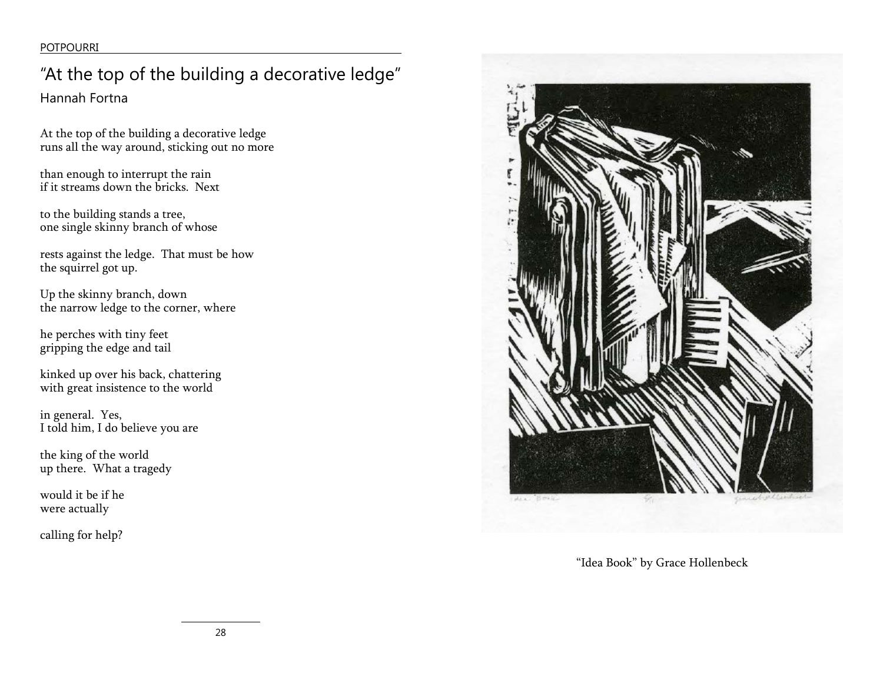## "At the top of the building a decorative ledge"

Hannah Fortna

At the top of the building a decorative ledge runs all the way around, sticking out no more

than enough to interrupt the rain if it streams down the bricks. Next

to the building stands a tree, one single skinny branch of whose

rests against the ledge. That must be how the squirrel got up.

Up the skinny branch, down the narrow ledge to the corner, where

he perches with tiny feet gripping the edge and tail

kinked up over his back, chattering with great insistence to the world

in general. Yes, I told him, I do believe you are

the king of the world up there. What a tragedy

would it be if he were actually

calling for help?



"Idea Book" by Grace Hollenbeck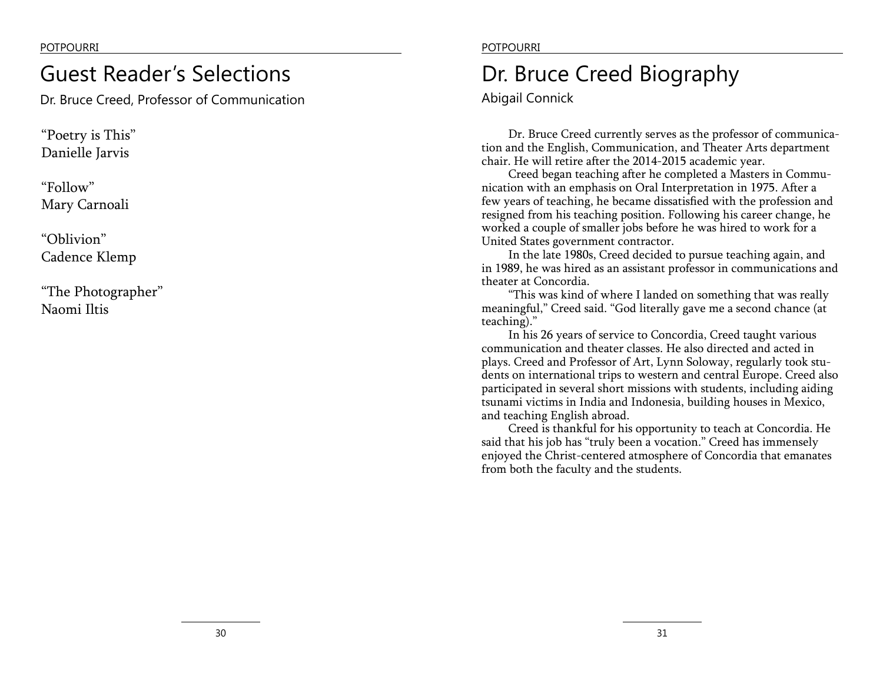## Guest Reader's Selections

Dr. Bruce Creed, Professor of Communication

"Poetry is This" Danielle Jarvis

"Follow" Mary Carnoali

"Oblivion" Cadence Klemp

"The Photographer" Naomi Iltis

### POTPOURRI POTPOURRI

## Dr. Bruce Creed Biography

Abigail Connick

Dr. Bruce Creed currently serves as the professor of communication and the English, Communication, and Theater Arts department chair. He will retire after the 2014-2015 academic year.

Creed began teaching after he completed a Masters in Communication with an emphasis on Oral Interpretation in 1975. After a few years of teaching, he became dissatisfied with the profession and resigned from his teaching position. Following his career change, he worked a couple of smaller jobs before he was hired to work for a United States government contractor.

In the late 1980s, Creed decided to pursue teaching again, and in 1989, he was hired as an assistant professor in communications and theater at Concordia.

"This was kind of where I landed on something that was really meaningful," Creed said. "God literally gave me a second chance (at teaching)."

In his 26 years of service to Concordia, Creed taught various communication and theater classes. He also directed and acted in plays. Creed and Professor of Art, Lynn Soloway, regularly took students on international trips to western and central Europe. Creed also participated in several short missions with students, including aiding tsunami victims in India and Indonesia, building houses in Mexico, and teaching English abroad.

Creed is thankful for his opportunity to teach at Concordia. He said that his job has "truly been a vocation." Creed has immensely enjoyed the Christ-centered atmosphere of Concordia that emanates from both the faculty and the students.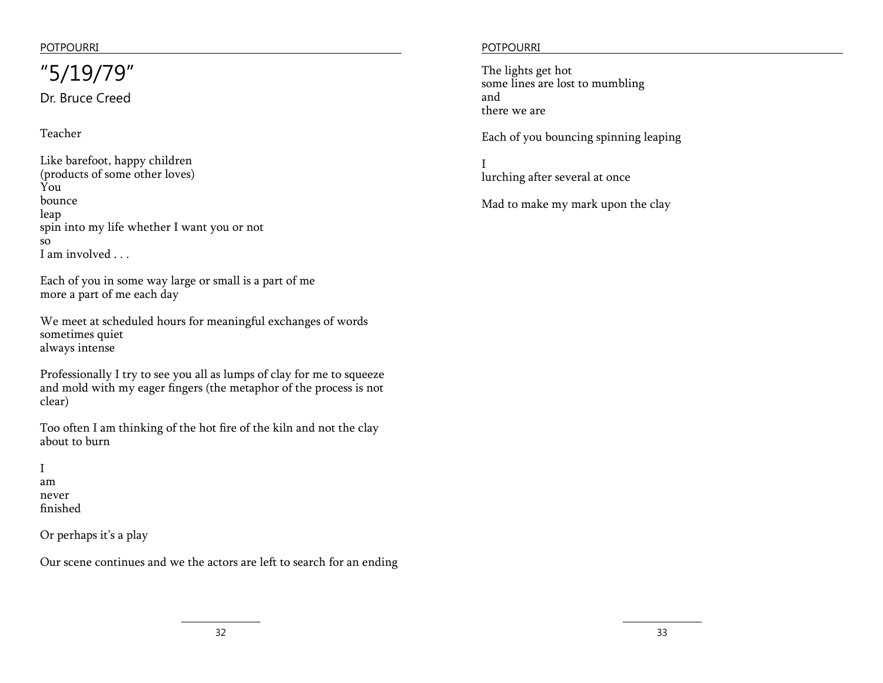### Dr. Bruce Creed  $"5/19/79"$  The lights get hot

Teacher

Like barefoot, happy children (products of some other loves) You bounce leap spin into my life whether I want you or not so I am involved . . .

Each of you in some way large or small is a part of me more a part of me each day

We meet at scheduled hours for meaningful exchanges of words sometimes quiet always intense

Professionally I try to see you all as lumps of clay for me to squeeze and mold with my eager fingers (the metaphor of the process is not clear)

Too often I am thinking of the hot fire of the kiln and not the clay about to burn

### I am never finished

Or perhaps it's a play

Our scene continues and we the actors are left to search for an ending

### POTPOURRI POTPOURRI

some lines are lost to mumbling and there we are

Each of you bouncing spinning leaping

I lurching after several at once

Mad to make my mark upon the clay